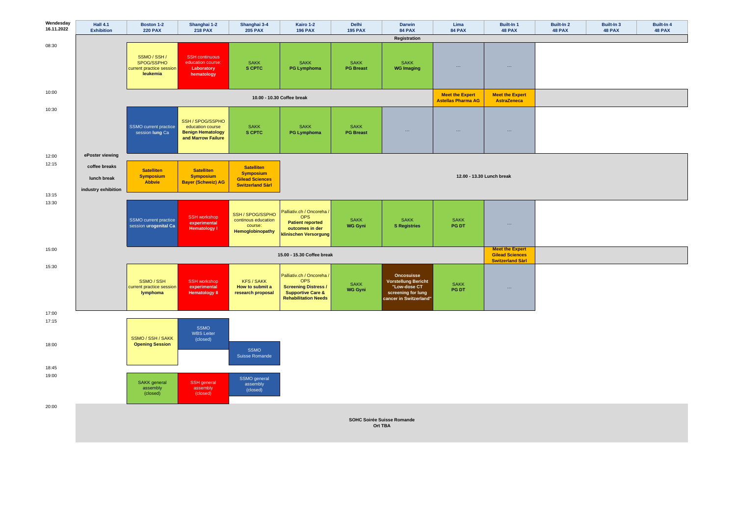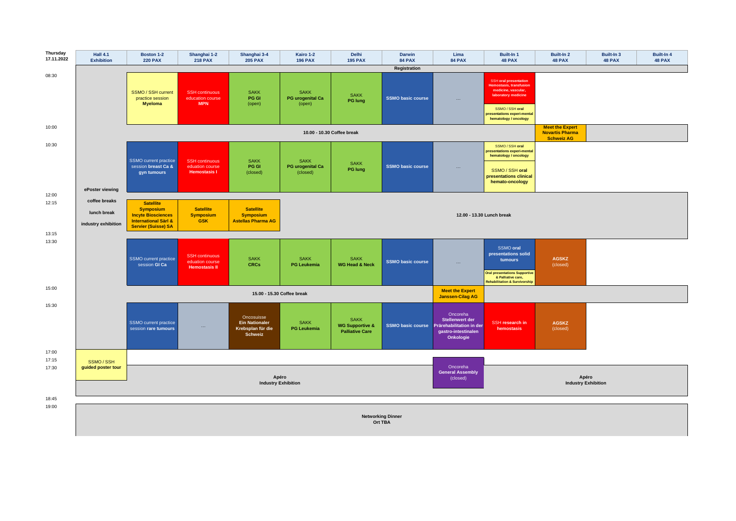